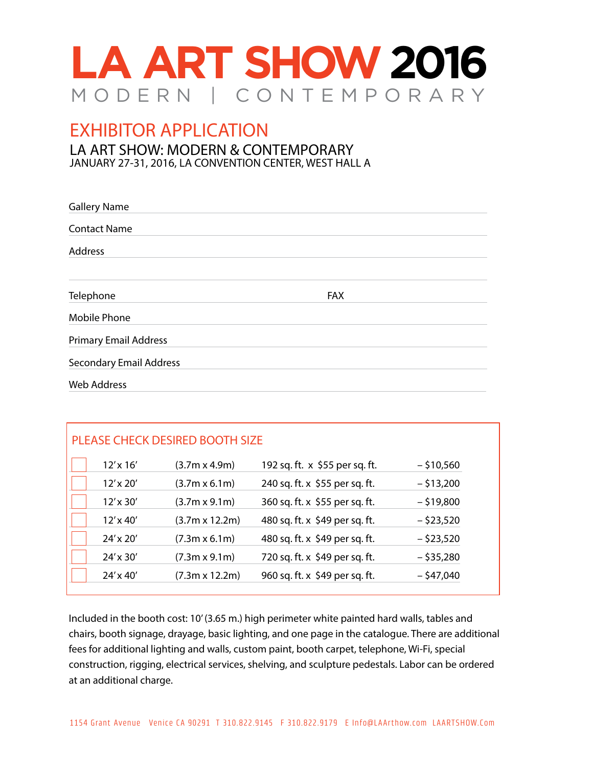

EXHIBITOR APPLICATION

LA ART SHOW: MODERN & CONTEMPORARY JANUARY 27-31, 2016, LA CONVENTION CENTER, WEST HALL A

| <b>Gallery Name</b>            |            |  |
|--------------------------------|------------|--|
| <b>Contact Name</b>            |            |  |
| Address                        |            |  |
| Telephone                      | <b>FAX</b> |  |
| <b>Mobile Phone</b>            |            |  |
| <b>Primary Email Address</b>   |            |  |
| <b>Secondary Email Address</b> |            |  |
| <b>Web Address</b>             |            |  |

| PLEASE CHECK DESIRED BOOTH SIZE |                  |                       |                                |              |  |  |
|---------------------------------|------------------|-----------------------|--------------------------------|--------------|--|--|
|                                 | $12' \times 16'$ | $(3.7m \times 4.9m)$  | 192 sq. ft. x \$55 per sq. ft. | $-$ \$10,560 |  |  |
|                                 | $12' \times 20'$ | $(3.7m \times 6.1m)$  | 240 sq. ft. x \$55 per sq. ft. | $-$ \$13,200 |  |  |
|                                 | $12' \times 30'$ | $(3.7m \times 9.1m)$  | 360 sq. ft. x \$55 per sq. ft. | $-$ \$19,800 |  |  |
|                                 | $12' \times 40'$ | $(3.7m \times 12.2m)$ | 480 sq. ft. x \$49 per sq. ft. | $-$ \$23,520 |  |  |
|                                 | $24' \times 20'$ | $(7.3m \times 6.1m)$  | 480 sq. ft. x \$49 per sq. ft. | $-$ \$23,520 |  |  |
|                                 | $24' \times 30'$ | $(7.3m \times 9.1m)$  | 720 sq. ft. x \$49 per sq. ft. | $-$ \$35,280 |  |  |
|                                 | $24' \times 40'$ | $(7.3m \times 12.2m)$ | 960 sq. ft. x \$49 per sq. ft. | $-$ \$47,040 |  |  |

Included in the booth cost: 10' (3.65 m.) high perimeter white painted hard walls, tables and chairs, booth signage, drayage, basic lighting, and one page in the catalogue. There are additional fees for additional lighting and walls, custom paint, booth carpet, telephone, Wi-Fi, special construction, rigging, electrical services, shelving, and sculpture pedestals. Labor can be ordered at an additional charge.